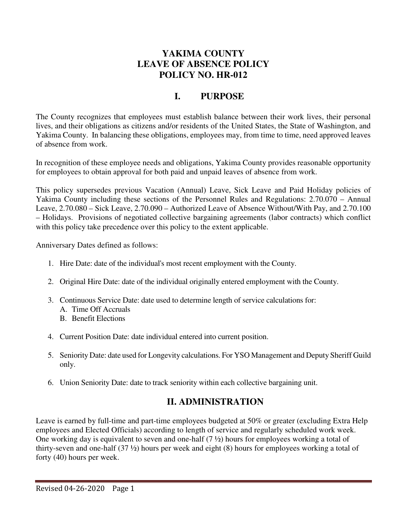#### **YAKIMA COUNTY LEAVE OF ABSENCE POLICY POLICY NO. HR-012**

# **I. PURPOSE**

The County recognizes that employees must establish balance between their work lives, their personal lives, and their obligations as citizens and/or residents of the United States, the State of Washington, and Yakima County. In balancing these obligations, employees may, from time to time, need approved leaves of absence from work.

In recognition of these employee needs and obligations, Yakima County provides reasonable opportunity for employees to obtain approval for both paid and unpaid leaves of absence from work.

This policy supersedes previous Vacation (Annual) Leave, Sick Leave and Paid Holiday policies of Yakima County including these sections of the Personnel Rules and Regulations: 2.70.070 – Annual Leave, 2.70.080 – Sick Leave, 2.70.090 – Authorized Leave of Absence Without/With Pay, and 2.70.100 – Holidays. Provisions of negotiated collective bargaining agreements (labor contracts) which conflict with this policy take precedence over this policy to the extent applicable.

Anniversary Dates defined as follows:

- 1. Hire Date: date of the individual's most recent employment with the County.
- 2. Original Hire Date: date of the individual originally entered employment with the County.
- 3. Continuous Service Date: date used to determine length of service calculations for:
	- A. Time Off Accruals
	- B. Benefit Elections
- 4. Current Position Date: date individual entered into current position.
- 5. Seniority Date: date used for Longevity calculations. For YSO Management and Deputy Sheriff Guild only.
- 6. Union Seniority Date: date to track seniority within each collective bargaining unit.

#### **II. ADMINISTRATION**

Leave is earned by full-time and part-time employees budgeted at 50% or greater (excluding Extra Help employees and Elected Officials) according to length of service and regularly scheduled work week. One working day is equivalent to seven and one-half (7 ½) hours for employees working a total of thirty-seven and one-half (37 ½) hours per week and eight (8) hours for employees working a total of forty (40) hours per week.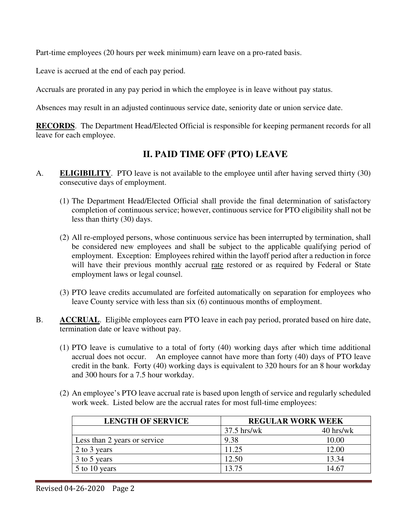Part-time employees (20 hours per week minimum) earn leave on a pro-rated basis.

Leave is accrued at the end of each pay period.

Accruals are prorated in any pay period in which the employee is in leave without pay status.

Absences may result in an adjusted continuous service date, seniority date or union service date.

**RECORDS**. The Department Head/Elected Official is responsible for keeping permanent records for all leave for each employee.

## **II. PAID TIME OFF (PTO) LEAVE**

- A. **ELIGIBILITY**. PTO leave is not available to the employee until after having served thirty (30) consecutive days of employment.
	- (1) The Department Head/Elected Official shall provide the final determination of satisfactory completion of continuous service; however, continuous service for PTO eligibility shall not be less than thirty (30) days.
	- (2) All re-employed persons, whose continuous service has been interrupted by termination, shall be considered new employees and shall be subject to the applicable qualifying period of employment. Exception: Employees rehired within the layoff period after a reduction in force will have their previous monthly accrual rate restored or as required by Federal or State employment laws or legal counsel.
	- (3) PTO leave credits accumulated are forfeited automatically on separation for employees who leave County service with less than six (6) continuous months of employment.
- B. **ACCRUAL**. Eligible employees earn PTO leave in each pay period, prorated based on hire date, termination date or leave without pay.
	- (1) PTO leave is cumulative to a total of forty (40) working days after which time additional accrual does not occur. An employee cannot have more than forty (40) days of PTO leave credit in the bank. Forty (40) working days is equivalent to 320 hours for an 8 hour workday and 300 hours for a 7.5 hour workday.
	- (2) An employee's PTO leave accrual rate is based upon length of service and regularly scheduled work week. Listed below are the accrual rates for most full-time employees:

| <b>LENGTH OF SERVICE</b>     |               | <b>REGULAR WORK WEEK</b> |  |
|------------------------------|---------------|--------------------------|--|
|                              | $37.5$ hrs/wk | $40$ hrs/wk              |  |
| Less than 2 years or service | 9.38          | 10.00                    |  |
| 2 to 3 years                 | 11.25         | 12.00                    |  |
| 3 to 5 years                 | 12.50         | 13.34                    |  |
| 5 to 10 years                | 13.75         | 14.67                    |  |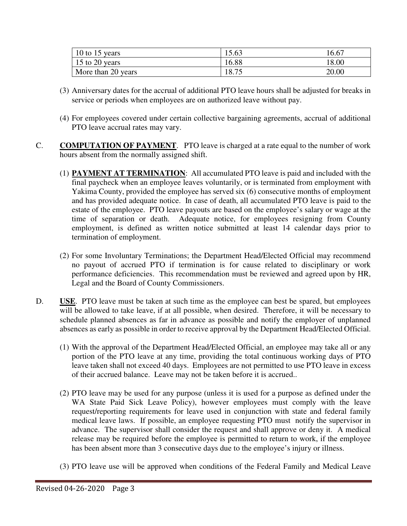| 10 to 15 years     | 15.63 | 16.67 |
|--------------------|-------|-------|
| 15 to 20 years     | 16.88 | 18.00 |
| More than 20 years | 18.75 | 20.00 |

- (3) Anniversary dates for the accrual of additional PTO leave hours shall be adjusted for breaks in service or periods when employees are on authorized leave without pay.
- (4) For employees covered under certain collective bargaining agreements, accrual of additional PTO leave accrual rates may vary.
- C. **COMPUTATION OF PAYMENT**. PTO leave is charged at a rate equal to the number of work hours absent from the normally assigned shift.
	- (1) **PAYMENT AT TERMINATION**: All accumulated PTO leave is paid and included with the final paycheck when an employee leaves voluntarily, or is terminated from employment with Yakima County, provided the employee has served six (6) consecutive months of employment and has provided adequate notice. In case of death, all accumulated PTO leave is paid to the estate of the employee. PTO leave payouts are based on the employee's salary or wage at the time of separation or death. Adequate notice, for employees resigning from County employment, is defined as written notice submitted at least 14 calendar days prior to termination of employment.
	- (2) For some Involuntary Terminations; the Department Head/Elected Official may recommend no payout of accrued PTO if termination is for cause related to disciplinary or work performance deficiencies. This recommendation must be reviewed and agreed upon by HR, Legal and the Board of County Commissioners.
- D. **USE**. PTO leave must be taken at such time as the employee can best be spared, but employees will be allowed to take leave, if at all possible, when desired. Therefore, it will be necessary to schedule planned absences as far in advance as possible and notify the employer of unplanned absences as early as possible in order to receive approval by the Department Head/Elected Official.
	- (1) With the approval of the Department Head/Elected Official, an employee may take all or any portion of the PTO leave at any time, providing the total continuous working days of PTO leave taken shall not exceed 40 days. Employees are not permitted to use PTO leave in excess of their accrued balance. Leave may not be taken before it is accrued..
	- (2) PTO leave may be used for any purpose (unless it is used for a purpose as defined under the WA State Paid Sick Leave Policy), however employees must comply with the leave request/reporting requirements for leave used in conjunction with state and federal family medical leave laws. If possible, an employee requesting PTO must notify the supervisor in advance. The supervisor shall consider the request and shall approve or deny it. A medical release may be required before the employee is permitted to return to work, if the employee has been absent more than 3 consecutive days due to the employee's injury or illness.
	- (3) PTO leave use will be approved when conditions of the Federal Family and Medical Leave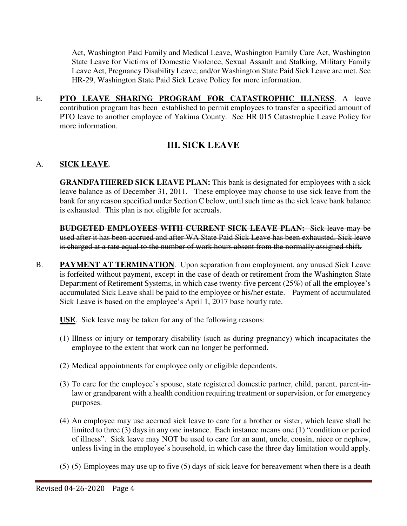Act, Washington Paid Family and Medical Leave, Washington Family Care Act, Washington State Leave for Victims of Domestic Violence, Sexual Assault and Stalking, Military Family Leave Act, Pregnancy Disability Leave, and/or Washington State Paid Sick Leave are met. See HR-29, Washington State Paid Sick Leave Policy for more information.

E. **PTO LEAVE SHARING PROGRAM FOR CATASTROPHIC ILLNESS**. A leave contribution program has been established to permit employees to transfer a specified amount of PTO leave to another employee of Yakima County. See HR 015 Catastrophic Leave Policy for more information.

## **III. SICK LEAVE**

#### A. **SICK LEAVE**.

**GRANDFATHERED SICK LEAVE PLAN:** This bank is designated for employees with a sick leave balance as of December 31, 2011. These employee may choose to use sick leave from the bank for any reason specified under Section C below, until such time as the sick leave bank balance is exhausted. This plan is not eligible for accruals.

**BUDGETED EMPLOYEES WITH CURRENT SICK LEAVE PLAN:** Sick leave may be used after it has been accrued and after WA State Paid Sick Leave has been exhausted. Sick leave is charged at a rate equal to the number of work hours absent from the normally assigned shift.

B. **PAYMENT AT TERMINATION**. Upon separation from employment, any unused Sick Leave is forfeited without payment, except in the case of death or retirement from the Washington State Department of Retirement Systems, in which case twenty-five percent (25%) of all the employee's accumulated Sick Leave shall be paid to the employee or his/her estate. Payment of accumulated Sick Leave is based on the employee's April 1, 2017 base hourly rate.

**USE**. Sick leave may be taken for any of the following reasons:

- (1) Illness or injury or temporary disability (such as during pregnancy) which incapacitates the employee to the extent that work can no longer be performed.
- (2) Medical appointments for employee only or eligible dependents.
- (3) To care for the employee's spouse, state registered domestic partner, child, parent, parent-inlaw or grandparent with a health condition requiring treatment or supervision, or for emergency purposes.
- (4) An employee may use accrued sick leave to care for a brother or sister, which leave shall be limited to three (3) days in any one instance. Each instance means one (1) "condition or period of illness". Sick leave may NOT be used to care for an aunt, uncle, cousin, niece or nephew, unless living in the employee's household, in which case the three day limitation would apply.
- (5) (5) Employees may use up to five (5) days of sick leave for bereavement when there is a death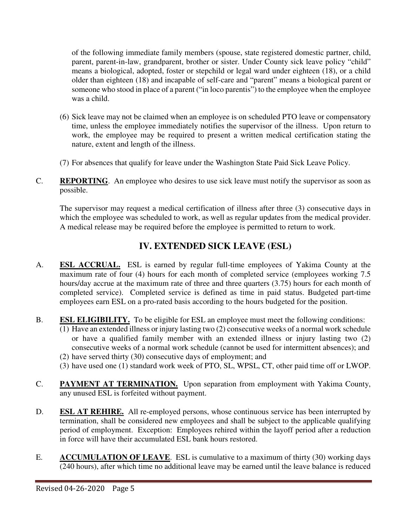of the following immediate family members (spouse, state registered domestic partner, child, parent, parent-in-law, grandparent, brother or sister. Under County sick leave policy "child" means a biological, adopted, foster or stepchild or legal ward under eighteen (18), or a child older than eighteen (18) and incapable of self-care and "parent" means a biological parent or someone who stood in place of a parent ("in loco parentis") to the employee when the employee was a child.

- (6) Sick leave may not be claimed when an employee is on scheduled PTO leave or compensatory time, unless the employee immediately notifies the supervisor of the illness. Upon return to work, the employee may be required to present a written medical certification stating the nature, extent and length of the illness.
- (7) For absences that qualify for leave under the Washington State Paid Sick Leave Policy.
- C. **REPORTING**. An employee who desires to use sick leave must notify the supervisor as soon as possible.

The supervisor may request a medical certification of illness after three (3) consecutive days in which the employee was scheduled to work, as well as regular updates from the medical provider. A medical release may be required before the employee is permitted to return to work.

# **IV. EXTENDED SICK LEAVE (ESL)**

- A. **ESL ACCRUAL.** ESL is earned by regular full-time employees of Yakima County at the maximum rate of four (4) hours for each month of completed service (employees working 7.5 hours/day accrue at the maximum rate of three and three quarters (3.75) hours for each month of completed service). Completed service is defined as time in paid status. Budgeted part-time employees earn ESL on a pro-rated basis according to the hours budgeted for the position.
- B. **ESL ELIGIBILITY.** To be eligible for ESL an employee must meet the following conditions:
	- (1) Have an extended illness or injury lasting two (2) consecutive weeks of a normal work schedule or have a qualified family member with an extended illness or injury lasting two (2) consecutive weeks of a normal work schedule (cannot be used for intermittent absences); and
	- (2) have served thirty (30) consecutive days of employment; and
	- (3) have used one (1) standard work week of PTO, SL, WPSL, CT, other paid time off or LWOP.
- C. **PAYMENT AT TERMINATION.** Upon separation from employment with Yakima County, any unused ESL is forfeited without payment.
- D. **ESL AT REHIRE.** All re-employed persons, whose continuous service has been interrupted by termination, shall be considered new employees and shall be subject to the applicable qualifying period of employment. Exception: Employees rehired within the layoff period after a reduction in force will have their accumulated ESL bank hours restored.
- E. **ACCUMULATION OF LEAVE**. ESL is cumulative to a maximum of thirty (30) working days (240 hours), after which time no additional leave may be earned until the leave balance is reduced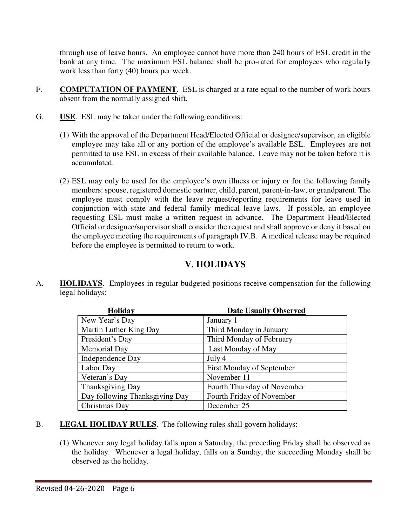through use of leave hours. An employee cannot have more than 240 hours of ESL credit in the bank at any time. The maximum ESL balance shall be pro-rated for employees who regularly work less than forty (40) hours per week.

- F. **COMPUTATION OF PAYMENT**. ESL is charged at a rate equal to the number of work hours absent from the normally assigned shift.
- G. **USE**. ESL may be taken under the following conditions:
	- (1) With the approval of the Department Head/Elected Official or designee/supervisor, an eligible employee may take all or any portion of the employee's available ESL. Employees are not permitted to use ESL in excess of their available balance. Leave may not be taken before it is accumulated.
	- (2) ESL may only be used for the employee's own illness or injury or for the following family members: spouse, registered domestic partner, child, parent, parent-in-law, or grandparent. The employee must comply with the leave request/reporting requirements for leave used in conjunction with state and federal family medical leave laws. If possible, an employee requesting ESL must make a written request in advance. The Department Head/Elected Official or designee/supervisor shall consider the request and shall approve or deny it based on the employee meeting the requirements of paragraph IV.B. A medical release may be required before the employee is permitted to return to work.

## **V. HOLIDAYS**

A. **HOLIDAYS**. Employees in regular budgeted positions receive compensation for the following legal holidays:

| <b>Holiday</b>                 | <b>Date Usually Observed</b> |
|--------------------------------|------------------------------|
| New Year's Day                 | January 1                    |
| Martin Luther King Day         | Third Monday in January      |
| President's Day                | Third Monday of February     |
| Memorial Day                   | Last Monday of May           |
| Independence Day               | July 4                       |
| Labor Day                      | First Monday of September    |
| Veteran's Day                  | November 11                  |
| Thanksgiving Day               | Fourth Thursday of November  |
| Day following Thanksgiving Day | Fourth Friday of November    |
| Christmas Day                  | December 25                  |

- B. **LEGAL HOLIDAY RULES**. The following rules shall govern holidays:
	- (1) Whenever any legal holiday falls upon a Saturday, the preceding Friday shall be observed as the holiday. Whenever a legal holiday, falls on a Sunday, the succeeding Monday shall be observed as the holiday.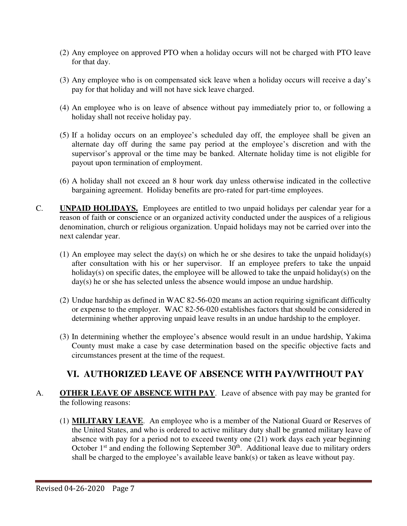- (2) Any employee on approved PTO when a holiday occurs will not be charged with PTO leave for that day.
- (3) Any employee who is on compensated sick leave when a holiday occurs will receive a day's pay for that holiday and will not have sick leave charged.
- (4) An employee who is on leave of absence without pay immediately prior to, or following a holiday shall not receive holiday pay.
- (5) If a holiday occurs on an employee's scheduled day off, the employee shall be given an alternate day off during the same pay period at the employee's discretion and with the supervisor's approval or the time may be banked. Alternate holiday time is not eligible for payout upon termination of employment.
- (6) A holiday shall not exceed an 8 hour work day unless otherwise indicated in the collective bargaining agreement. Holiday benefits are pro-rated for part-time employees.
- C. **UNPAID HOLIDAYS.** Employees are entitled to two unpaid holidays per calendar year for a reason of faith or conscience or an organized activity conducted under the auspices of a religious denomination, church or religious organization. Unpaid holidays may not be carried over into the next calendar year.
	- (1) An employee may select the day(s) on which he or she desires to take the unpaid holiday(s) after consultation with his or her supervisor. If an employee prefers to take the unpaid holiday(s) on specific dates, the employee will be allowed to take the unpaid holiday(s) on the day(s) he or she has selected unless the absence would impose an undue hardship.
	- (2) Undue hardship as defined in WAC 82-56-020 means an action requiring significant difficulty or expense to the employer. WAC 82-56-020 establishes factors that should be considered in determining whether approving unpaid leave results in an undue hardship to the employer.
	- (3) In determining whether the employee's absence would result in an undue hardship, Yakima County must make a case by case determination based on the specific objective facts and circumstances present at the time of the request.

### **VI. AUTHORIZED LEAVE OF ABSENCE WITH PAY/WITHOUT PAY**

- A. **OTHER LEAVE OF ABSENCE WITH PAY**. Leave of absence with pay may be granted for the following reasons:
	- (1) **MILITARY LEAVE**. An employee who is a member of the National Guard or Reserves of the United States, and who is ordered to active military duty shall be granted military leave of absence with pay for a period not to exceed twenty one (21) work days each year beginning October  $1<sup>st</sup>$  and ending the following September  $30<sup>th</sup>$ . Additional leave due to military orders shall be charged to the employee's available leave bank(s) or taken as leave without pay.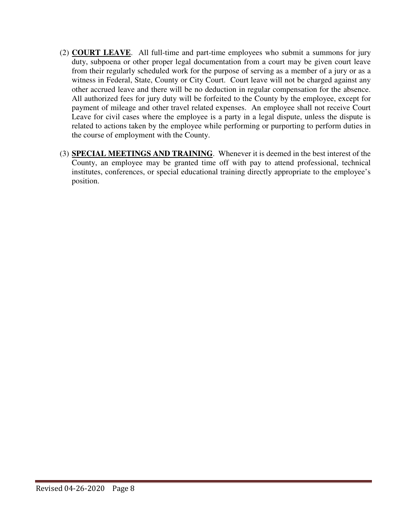- (2) **COURT LEAVE**. All full-time and part-time employees who submit a summons for jury duty, subpoena or other proper legal documentation from a court may be given court leave from their regularly scheduled work for the purpose of serving as a member of a jury or as a witness in Federal, State, County or City Court. Court leave will not be charged against any other accrued leave and there will be no deduction in regular compensation for the absence. All authorized fees for jury duty will be forfeited to the County by the employee, except for payment of mileage and other travel related expenses. An employee shall not receive Court Leave for civil cases where the employee is a party in a legal dispute, unless the dispute is related to actions taken by the employee while performing or purporting to perform duties in the course of employment with the County.
- (3) **SPECIAL MEETINGS AND TRAINING**. Whenever it is deemed in the best interest of the County, an employee may be granted time off with pay to attend professional, technical institutes, conferences, or special educational training directly appropriate to the employee's position.